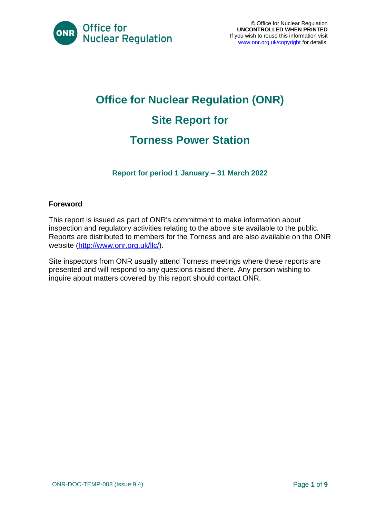

# **Office for Nuclear Regulation (ONR) Site Report for Torness Power Station**

**Report for period 1 January – 31 March 2022**

### **Foreword**

This report is issued as part of ONR's commitment to make information about inspection and regulatory activities relating to the above site available to the public. Reports are distributed to members for the Torness and are also available on the ONR website [\(http://www.onr.org.uk/llc/\)](http://www.onr.org.uk/llc/).

Site inspectors from ONR usually attend Torness meetings where these reports are presented and will respond to any questions raised there. Any person wishing to inquire about matters covered by this report should contact ONR.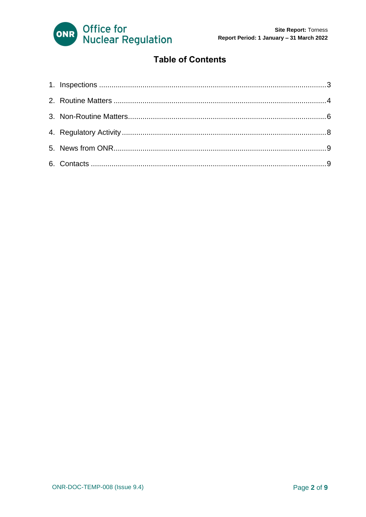

### **Table of Contents**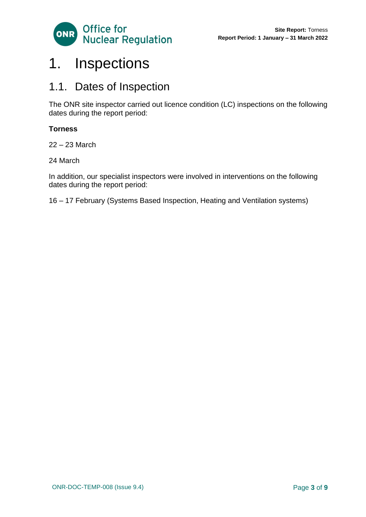

# <span id="page-2-0"></span>1. Inspections

## 1.1. Dates of Inspection

The ONR site inspector carried out licence condition (LC) inspections on the following dates during the report period:

### **Torness**

22 – 23 March

24 March

In addition, our specialist inspectors were involved in interventions on the following dates during the report period:

16 – 17 February (Systems Based Inspection, Heating and Ventilation systems)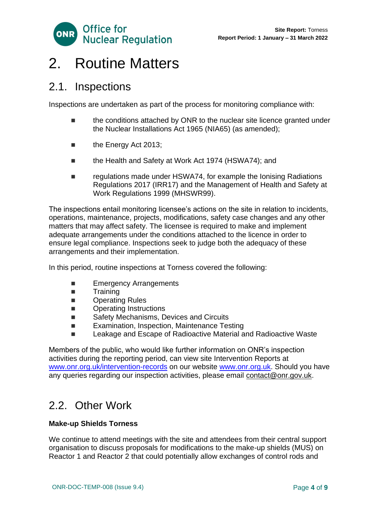

# <span id="page-3-0"></span>2. Routine Matters

## 2.1. Inspections

Inspections are undertaken as part of the process for monitoring compliance with:

- the conditions attached by ONR to the nuclear site licence granted under the Nuclear Installations Act 1965 (NIA65) (as amended);
- the Energy Act 2013;
- the Health and Safety at Work Act 1974 (HSWA74); and
- regulations made under HSWA74, for example the Ionising Radiations Regulations 2017 (IRR17) and the Management of Health and Safety at Work Regulations 1999 (MHSWR99).

The inspections entail monitoring licensee's actions on the site in relation to incidents, operations, maintenance, projects, modifications, safety case changes and any other matters that may affect safety. The licensee is required to make and implement adequate arrangements under the conditions attached to the licence in order to ensure legal compliance. Inspections seek to judge both the adequacy of these arrangements and their implementation.

In this period, routine inspections at Torness covered the following:

- Emergency Arrangements
- Training
- Operating Rules
- Operating Instructions
- Safety Mechanisms, Devices and Circuits
- Examination, Inspection, Maintenance Testing
- Leakage and Escape of Radioactive Material and Radioactive Waste

Members of the public, who would like further information on ONR's inspection activities during the reporting period, can view site Intervention Reports at [www.onr.org.uk/intervention-records](http://www.onr.org.uk./intervention-records) on our website [www.onr.org.uk.](http://www.onr.org.uk/) Should you have any queries regarding our inspection activities, please email [contact@onr.gov.uk.](mailto:contact@onr.gov.uk)

## 2.2. Other Work

### **Make-up Shields Torness**

We continue to attend meetings with the site and attendees from their central support organisation to discuss proposals for modifications to the make-up shields (MUS) on Reactor 1 and Reactor 2 that could potentially allow exchanges of control rods and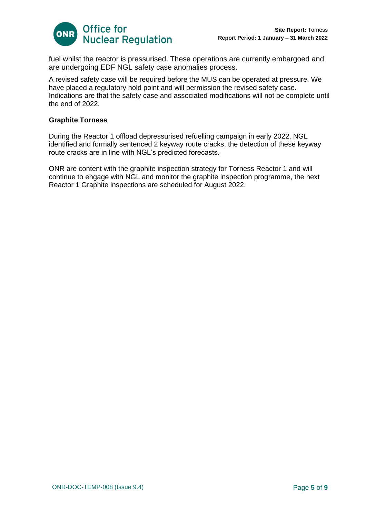

fuel whilst the reactor is pressurised. These operations are currently embargoed and are undergoing EDF NGL safety case anomalies process.

A revised safety case will be required before the MUS can be operated at pressure. We have placed a regulatory hold point and will permission the revised safety case. Indications are that the safety case and associated modifications will not be complete until the end of 2022.

#### **Graphite Torness**

During the Reactor 1 offload depressurised refuelling campaign in early 2022, NGL identified and formally sentenced 2 keyway route cracks, the detection of these keyway route cracks are in line with NGL's predicted forecasts.

ONR are content with the graphite inspection strategy for Torness Reactor 1 and will continue to engage with NGL and monitor the graphite inspection programme, the next Reactor 1 Graphite inspections are scheduled for August 2022.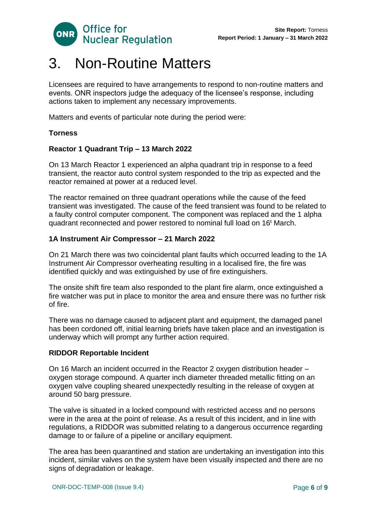

# <span id="page-5-0"></span>3. Non-Routine Matters

Licensees are required to have arrangements to respond to non-routine matters and events. ONR inspectors judge the adequacy of the licensee's response, including actions taken to implement any necessary improvements.

Matters and events of particular note during the period were:

### **Torness**

### **Reactor 1 Quadrant Trip – 13 March 2022**

On 13 March Reactor 1 experienced an alpha quadrant trip in response to a feed transient, the reactor auto control system responded to the trip as expected and the reactor remained at power at a reduced level.

The reactor remained on three quadrant operations while the cause of the feed transient was investigated. The cause of the feed transient was found to be related to a faulty control computer component. The component was replaced and the 1 alpha quadrant reconnected and power restored to nominal full load on 16<sup>t</sup> March.

### **1A Instrument Air Compressor – 21 March 2022**

On 21 March there was two coincidental plant faults which occurred leading to the 1A Instrument Air Compressor overheating resulting in a localised fire, the fire was identified quickly and was extinguished by use of fire extinguishers.

The onsite shift fire team also responded to the plant fire alarm, once extinguished a fire watcher was put in place to monitor the area and ensure there was no further risk of fire.

There was no damage caused to adjacent plant and equipment, the damaged panel has been cordoned off, initial learning briefs have taken place and an investigation is underway which will prompt any further action required.

#### **RIDDOR Reportable Incident**

On 16 March an incident occurred in the Reactor 2 oxygen distribution header – oxygen storage compound. A quarter inch diameter threaded metallic fitting on an oxygen valve coupling sheared unexpectedly resulting in the release of oxygen at around 50 barg pressure.

The valve is situated in a locked compound with restricted access and no persons were in the area at the point of release. As a result of this incident, and in line with regulations, a RIDDOR was submitted relating to a dangerous occurrence regarding damage to or failure of a pipeline or ancillary equipment.

The area has been quarantined and station are undertaking an investigation into this incident, similar valves on the system have been visually inspected and there are no signs of degradation or leakage.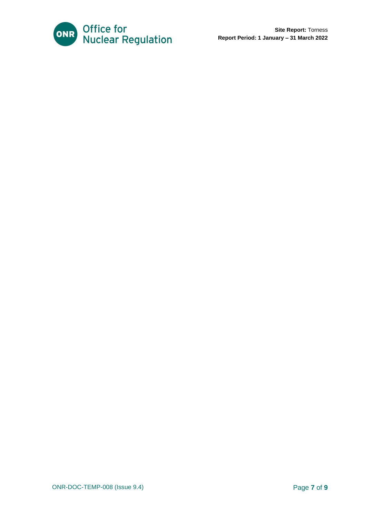

ONR-DOC-TEMP-008 (Issue 9.4) Page **7** of **9**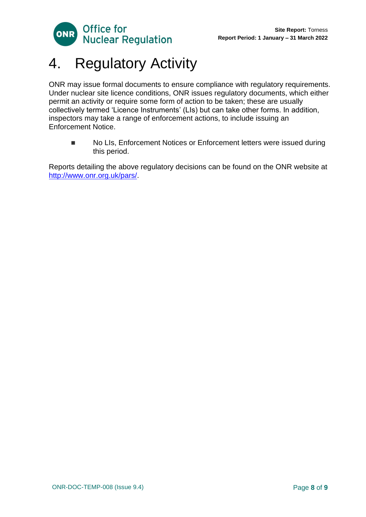

# <span id="page-7-0"></span>4. Regulatory Activity

ONR may issue formal documents to ensure compliance with regulatory requirements. Under nuclear site licence conditions, ONR issues regulatory documents, which either permit an activity or require some form of action to be taken; these are usually collectively termed 'Licence Instruments' (LIs) but can take other forms. In addition, inspectors may take a range of enforcement actions, to include issuing an Enforcement Notice.

■ No LIs, Enforcement Notices or Enforcement letters were issued during this period.

Reports detailing the above regulatory decisions can be found on the ONR website at [http://www.onr.org.uk/pars/.](http://www.onr.org.uk/pars/)